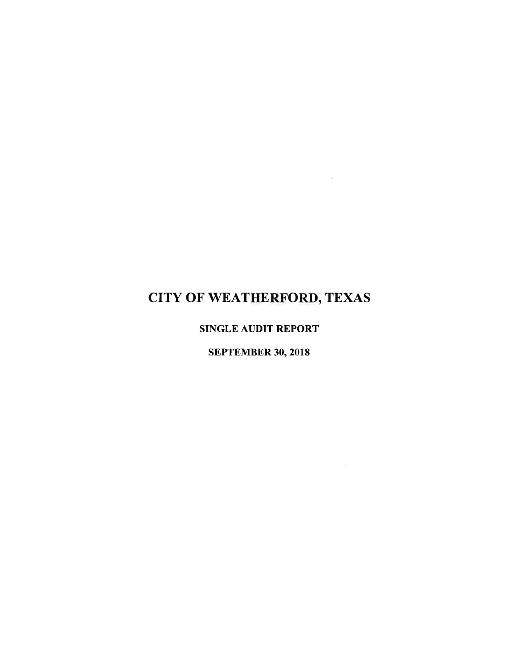$\sim$ 

**SINGLE AUDIT REPORT** 

**SEPTEMBER 30, 2018**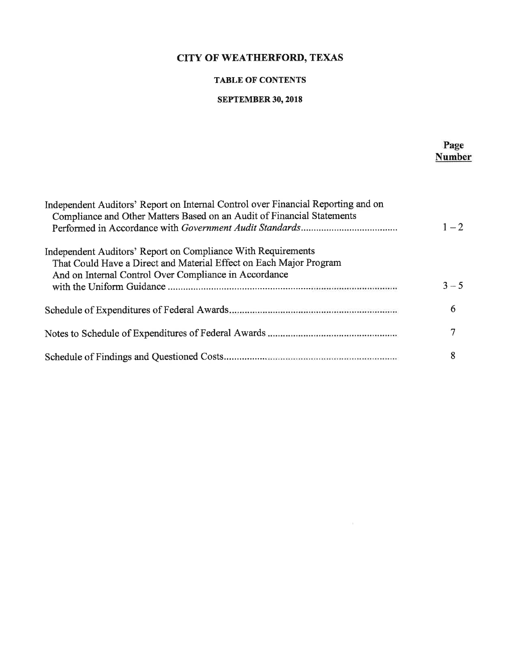### **TABLE OF CONTENTS**

#### **SEPTEMBER 30, 2018**

Page

**Number** Independent Auditors' Report on Internal Control over Financial Reporting and on Compliance and Other Matters Based on an Audit of Financial Statements  $1 - 2$ Independent Auditors' Report on Compliance With Requirements That Could Have a Direct and Material Effect on Each Major Program And on Internal Control Over Compliance in Accordance  $3 - 5$ 6  $\overline{7}$ 8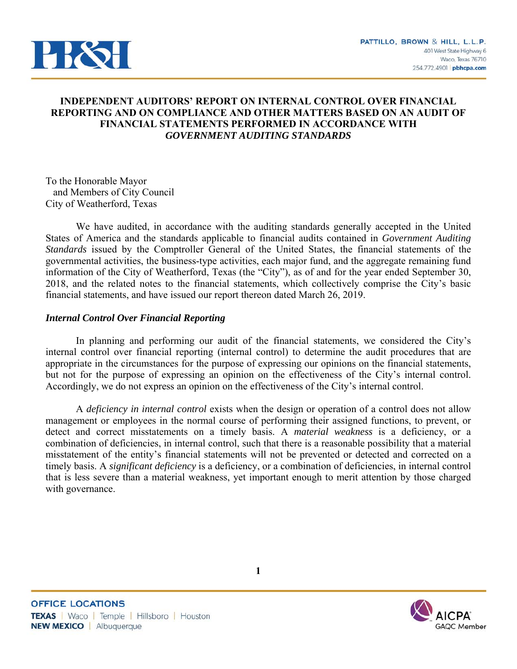

# **INDEPENDENT AUDITORS' REPORT ON INTERNAL CONTROL OVER FINANCIAL REPORTING AND ON COMPLIANCE AND OTHER MATTERS BASED ON AN AUDIT OF FINANCIAL STATEMENTS PERFORMED IN ACCORDANCE WITH**  *GOVERNMENT AUDITING STANDARDS*

To the Honorable Mayor and Members of City Council City of Weatherford, Texas

We have audited, in accordance with the auditing standards generally accepted in the United States of America and the standards applicable to financial audits contained in *Government Auditing Standards* issued by the Comptroller General of the United States, the financial statements of the governmental activities, the business-type activities, each major fund, and the aggregate remaining fund information of the City of Weatherford, Texas (the "City"), as of and for the year ended September 30, 2018, and the related notes to the financial statements, which collectively comprise the City's basic financial statements, and have issued our report thereon dated March 26, 2019.

# *Internal Control Over Financial Reporting*

In planning and performing our audit of the financial statements, we considered the City's internal control over financial reporting (internal control) to determine the audit procedures that are appropriate in the circumstances for the purpose of expressing our opinions on the financial statements, but not for the purpose of expressing an opinion on the effectiveness of the City's internal control. Accordingly, we do not express an opinion on the effectiveness of the City's internal control.

A *deficiency in internal control* exists when the design or operation of a control does not allow management or employees in the normal course of performing their assigned functions, to prevent, or detect and correct misstatements on a timely basis. A *material weakness* is a deficiency, or a combination of deficiencies, in internal control, such that there is a reasonable possibility that a material misstatement of the entity's financial statements will not be prevented or detected and corrected on a timely basis. A *significant deficiency* is a deficiency, or a combination of deficiencies, in internal control that is less severe than a material weakness, yet important enough to merit attention by those charged with governance.

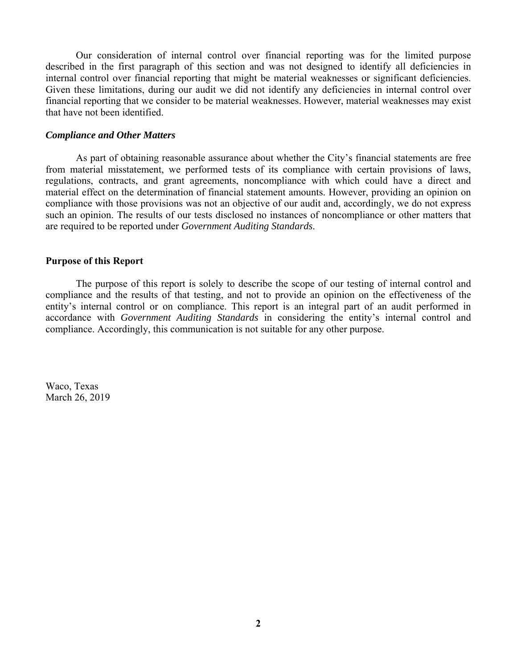Our consideration of internal control over financial reporting was for the limited purpose described in the first paragraph of this section and was not designed to identify all deficiencies in internal control over financial reporting that might be material weaknesses or significant deficiencies. Given these limitations, during our audit we did not identify any deficiencies in internal control over financial reporting that we consider to be material weaknesses. However, material weaknesses may exist that have not been identified.

#### *Compliance and Other Matters*

As part of obtaining reasonable assurance about whether the City's financial statements are free from material misstatement, we performed tests of its compliance with certain provisions of laws, regulations, contracts, and grant agreements, noncompliance with which could have a direct and material effect on the determination of financial statement amounts. However, providing an opinion on compliance with those provisions was not an objective of our audit and, accordingly, we do not express such an opinion. The results of our tests disclosed no instances of noncompliance or other matters that are required to be reported under *Government Auditing Standards*.

#### **Purpose of this Report**

The purpose of this report is solely to describe the scope of our testing of internal control and compliance and the results of that testing, and not to provide an opinion on the effectiveness of the entity's internal control or on compliance. This report is an integral part of an audit performed in accordance with *Government Auditing Standards* in considering the entity's internal control and compliance. Accordingly, this communication is not suitable for any other purpose.

Waco, Texas March 26, 2019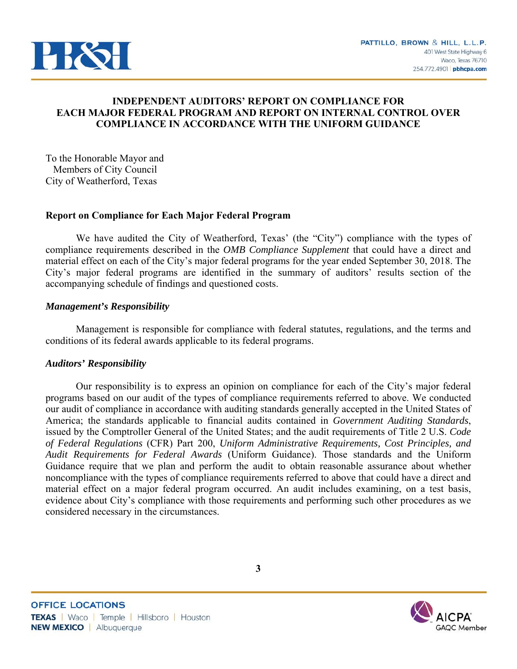

# **INDEPENDENT AUDITORS' REPORT ON COMPLIANCE FOR EACH MAJOR FEDERAL PROGRAM AND REPORT ON INTERNAL CONTROL OVER COMPLIANCE IN ACCORDANCE WITH THE UNIFORM GUIDANCE**

To the Honorable Mayor and Members of City Council City of Weatherford, Texas

# **Report on Compliance for Each Major Federal Program**

We have audited the City of Weatherford, Texas' (the "City") compliance with the types of compliance requirements described in the *OMB Compliance Supplement* that could have a direct and material effect on each of the City's major federal programs for the year ended September 30, 2018. The City's major federal programs are identified in the summary of auditors' results section of the accompanying schedule of findings and questioned costs.

# *Management's Responsibility*

Management is responsible for compliance with federal statutes, regulations, and the terms and conditions of its federal awards applicable to its federal programs.

#### *Auditors' Responsibility*

Our responsibility is to express an opinion on compliance for each of the City's major federal programs based on our audit of the types of compliance requirements referred to above. We conducted our audit of compliance in accordance with auditing standards generally accepted in the United States of America; the standards applicable to financial audits contained in *Government Auditing Standards*, issued by the Comptroller General of the United States; and the audit requirements of Title 2 U.S. *Code of Federal Regulations* (CFR) Part 200, *Uniform Administrative Requirements, Cost Principles, and Audit Requirements for Federal Awards* (Uniform Guidance). Those standards and the Uniform Guidance require that we plan and perform the audit to obtain reasonable assurance about whether noncompliance with the types of compliance requirements referred to above that could have a direct and material effect on a major federal program occurred. An audit includes examining, on a test basis, evidence about City's compliance with those requirements and performing such other procedures as we considered necessary in the circumstances.

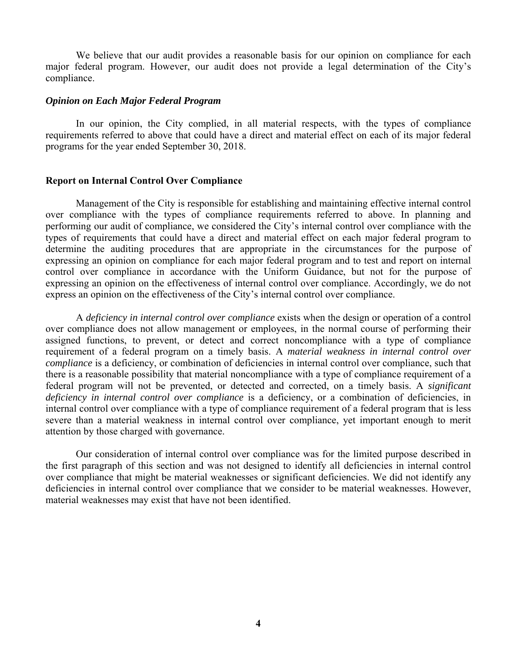We believe that our audit provides a reasonable basis for our opinion on compliance for each major federal program. However, our audit does not provide a legal determination of the City's compliance.

#### *Opinion on Each Major Federal Program*

In our opinion, the City complied, in all material respects, with the types of compliance requirements referred to above that could have a direct and material effect on each of its major federal programs for the year ended September 30, 2018.

#### **Report on Internal Control Over Compliance**

Management of the City is responsible for establishing and maintaining effective internal control over compliance with the types of compliance requirements referred to above. In planning and performing our audit of compliance, we considered the City's internal control over compliance with the types of requirements that could have a direct and material effect on each major federal program to determine the auditing procedures that are appropriate in the circumstances for the purpose of expressing an opinion on compliance for each major federal program and to test and report on internal control over compliance in accordance with the Uniform Guidance, but not for the purpose of expressing an opinion on the effectiveness of internal control over compliance. Accordingly, we do not express an opinion on the effectiveness of the City's internal control over compliance.

A *deficiency in internal control over compliance* exists when the design or operation of a control over compliance does not allow management or employees, in the normal course of performing their assigned functions, to prevent, or detect and correct noncompliance with a type of compliance requirement of a federal program on a timely basis. A *material weakness in internal control over compliance* is a deficiency, or combination of deficiencies in internal control over compliance, such that there is a reasonable possibility that material noncompliance with a type of compliance requirement of a federal program will not be prevented, or detected and corrected, on a timely basis. A *significant deficiency in internal control over compliance* is a deficiency, or a combination of deficiencies, in internal control over compliance with a type of compliance requirement of a federal program that is less severe than a material weakness in internal control over compliance, yet important enough to merit attention by those charged with governance.

Our consideration of internal control over compliance was for the limited purpose described in the first paragraph of this section and was not designed to identify all deficiencies in internal control over compliance that might be material weaknesses or significant deficiencies. We did not identify any deficiencies in internal control over compliance that we consider to be material weaknesses. However, material weaknesses may exist that have not been identified.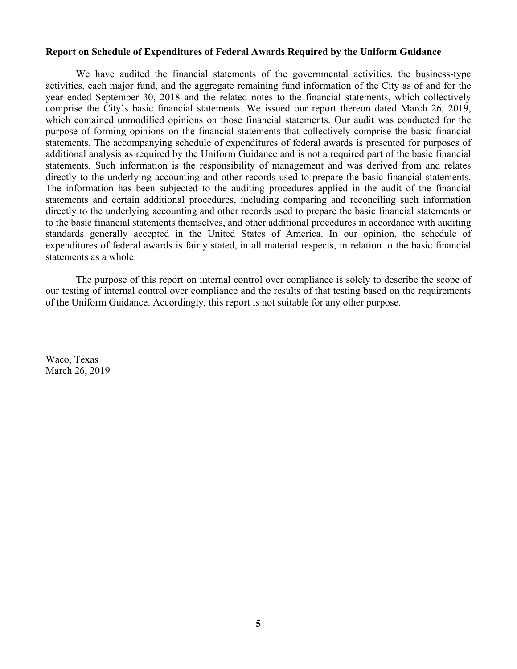#### **Report on Schedule of Expenditures of Federal Awards Required by the Uniform Guidance**

We have audited the financial statements of the governmental activities, the business-type activities, each major fund, and the aggregate remaining fund information of the City as of and for the year ended September 30, 2018 and the related notes to the financial statements, which collectively comprise the City's basic financial statements. We issued our report thereon dated March 26, 2019, which contained unmodified opinions on those financial statements. Our audit was conducted for the purpose of forming opinions on the financial statements that collectively comprise the basic financial statements. The accompanying schedule of expenditures of federal awards is presented for purposes of additional analysis as required by the Uniform Guidance and is not a required part of the basic financial statements. Such information is the responsibility of management and was derived from and relates directly to the underlying accounting and other records used to prepare the basic financial statements. The information has been subjected to the auditing procedures applied in the audit of the financial statements and certain additional procedures, including comparing and reconciling such information directly to the underlying accounting and other records used to prepare the basic financial statements or to the basic financial statements themselves, and other additional procedures in accordance with auditing standards generally accepted in the United States of America. In our opinion, the schedule of expenditures of federal awards is fairly stated, in all material respects, in relation to the basic financial statements as a whole.

The purpose of this report on internal control over compliance is solely to describe the scope of our testing of internal control over compliance and the results of that testing based on the requirements of the Uniform Guidance. Accordingly, this report is not suitable for any other purpose.

Waco, Texas March 26, 2019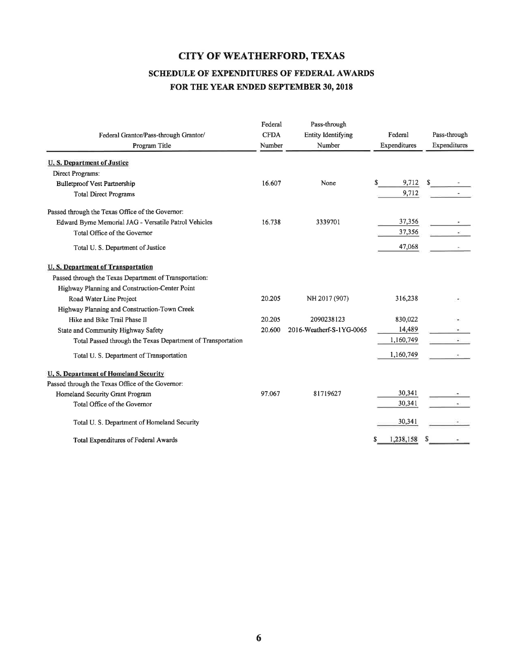# SCHEDULE OF EXPENDITURES OF FEDERAL AWARDS FOR THE YEAR ENDED SEPTEMBER 30, 2018

|                                                             | Federal     | Pass-through              |                |              |
|-------------------------------------------------------------|-------------|---------------------------|----------------|--------------|
| Federal Grantor/Pass-through Grantor/                       | <b>CFDA</b> | <b>Entity Identifying</b> | Federal        | Pass-through |
| Program Title                                               | Number      | Number                    | Expenditures   | Expenditures |
| <b>U.S. Department of Justice</b>                           |             |                           |                |              |
| Direct Programs:                                            |             |                           |                |              |
| <b>Bulletproof Vest Partnership</b>                         | 16.607      | None                      | 9,712<br>\$    | S            |
| <b>Total Direct Programs</b>                                |             |                           | 9,712          |              |
| Passed through the Texas Office of the Governor:            |             |                           |                |              |
| Edward Byrne Memorial JAG - Versatile Patrol Vehicles       | 16.738      | 3339701                   | 37,356         |              |
| Total Office of the Governor                                |             |                           | 37,356         |              |
| Total U.S. Department of Justice                            |             |                           | 47,068         |              |
| <b>U.S. Department of Transportation</b>                    |             |                           |                |              |
| Passed through the Texas Department of Transportation:      |             |                           |                |              |
| Highway Planning and Construction-Center Point              |             |                           |                |              |
| Road Water Line Project                                     | 20.205      | NH 2017 (907)             | 316,238        |              |
| Highway Planning and Construction-Town Creek                |             |                           |                |              |
| Hike and Bike Trail Phase II                                | 20.205      | 2090238123                | 830,022        |              |
| State and Community Highway Safety                          | 20.600      | 2016-Weatherf-S-1YG-0065  | 14,489         |              |
| Total Passed through the Texas Department of Transportation |             |                           | 1,160,749      |              |
| Total U.S. Department of Transportation                     |             |                           | 1,160,749      |              |
| U.S. Department of Homeland Security                        |             |                           |                |              |
| Passed through the Texas Office of the Governor:            |             |                           |                |              |
| Homeland Security Grant Program                             | 97.067      | 81719627                  | 30,341         |              |
| Total Office of the Governor                                |             |                           | 30,341         |              |
| Total U.S. Department of Homeland Security                  |             |                           | 30,341         |              |
| Total Expenditures of Federal Awards                        |             |                           | 1,238,158<br>S | S            |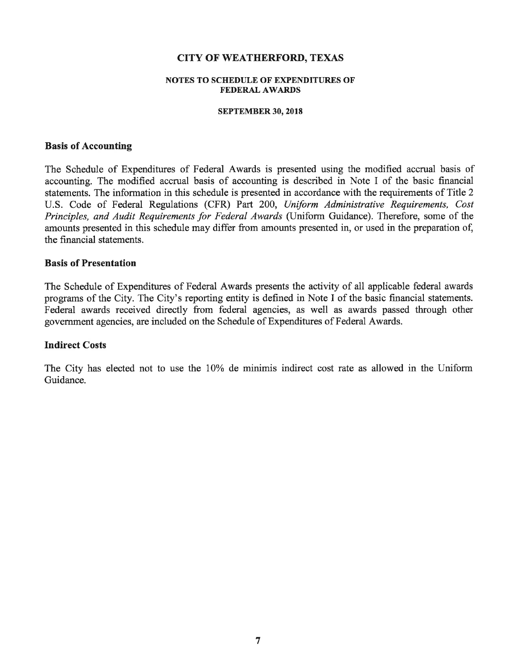#### **NOTES TO SCHEDULE OF EXPENDITURES OF FEDERAL AWARDS**

#### **SEPTEMBER 30, 2018**

#### **Basis of Accounting**

The Schedule of Expenditures of Federal Awards is presented using the modified accrual basis of accounting. The modified accrual basis of accounting is described in Note I of the basic financial statements. The information in this schedule is presented in accordance with the requirements of Title 2 U.S. Code of Federal Regulations (CFR) Part 200, Uniform Administrative Requirements, Cost Principles, and Audit Requirements for Federal Awards (Uniform Guidance). Therefore, some of the amounts presented in this schedule may differ from amounts presented in, or used in the preparation of, the financial statements.

### **Basis of Presentation**

The Schedule of Expenditures of Federal Awards presents the activity of all applicable federal awards programs of the City. The City's reporting entity is defined in Note I of the basic financial statements. Federal awards received directly from federal agencies, as well as awards passed through other government agencies, are included on the Schedule of Expenditures of Federal Awards.

#### **Indirect Costs**

The City has elected not to use the 10% de minimis indirect cost rate as allowed in the Uniform Guidance.